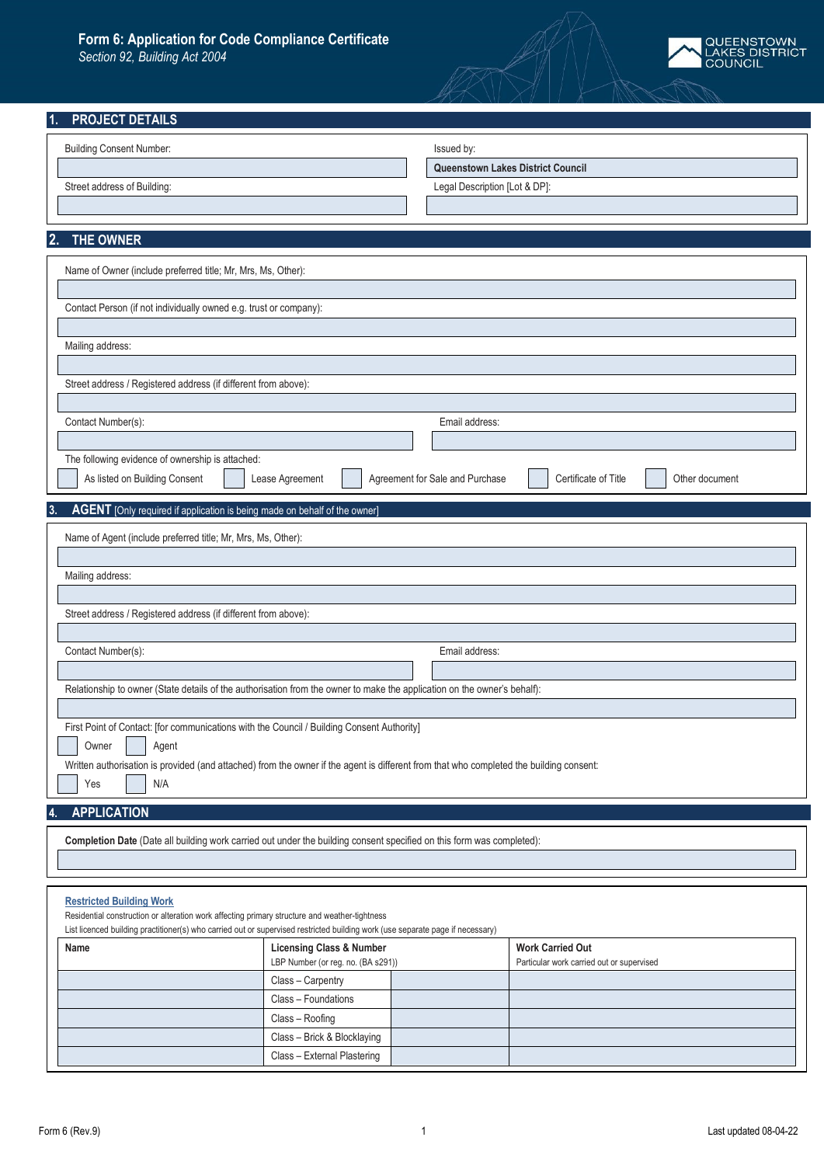## **Form 6: Application for Code Compliance Certificate**

*Section 92, Building Act 2004*



| <b>PROJECT DETAILS</b>                                                                                                                  |                                                                           |
|-----------------------------------------------------------------------------------------------------------------------------------------|---------------------------------------------------------------------------|
| <b>Building Consent Number:</b>                                                                                                         | Issued by:                                                                |
|                                                                                                                                         | Queenstown Lakes District Council                                         |
| Street address of Building:                                                                                                             | Legal Description [Lot & DP]:                                             |
|                                                                                                                                         |                                                                           |
|                                                                                                                                         |                                                                           |
| THE OWNER<br>2.                                                                                                                         |                                                                           |
| Name of Owner (include preferred title; Mr, Mrs, Ms, Other):                                                                            |                                                                           |
|                                                                                                                                         |                                                                           |
| Contact Person (if not individually owned e.g. trust or company):                                                                       |                                                                           |
|                                                                                                                                         |                                                                           |
| Mailing address:                                                                                                                        |                                                                           |
| Street address / Registered address (if different from above):                                                                          |                                                                           |
|                                                                                                                                         |                                                                           |
| Contact Number(s):                                                                                                                      | Email address:                                                            |
|                                                                                                                                         |                                                                           |
| The following evidence of ownership is attached:                                                                                        |                                                                           |
| As listed on Building Consent<br>Lease Agreement                                                                                        | Agreement for Sale and Purchase<br>Certificate of Title<br>Other document |
|                                                                                                                                         |                                                                           |
|                                                                                                                                         |                                                                           |
| AGENT [Only required if application is being made on behalf of the owner]<br>3.                                                         |                                                                           |
| Name of Agent (include preferred title; Mr, Mrs, Ms, Other):                                                                            |                                                                           |
|                                                                                                                                         |                                                                           |
| Mailing address:                                                                                                                        |                                                                           |
|                                                                                                                                         |                                                                           |
| Street address / Registered address (if different from above):                                                                          |                                                                           |
| Contact Number(s):                                                                                                                      | Email address:                                                            |
|                                                                                                                                         |                                                                           |
| Relationship to owner (State details of the authorisation from the owner to make the application on the owner's behalf):                |                                                                           |
|                                                                                                                                         |                                                                           |
| First Point of Contact: [for communications with the Council / Building Consent Authority]                                              |                                                                           |
| Owner<br>Agent                                                                                                                          |                                                                           |
| Written authorisation is provided (and attached) from the owner if the agent is different from that who completed the building consent: |                                                                           |
| N/A<br>Yes                                                                                                                              |                                                                           |
| <b>APPLICATION</b>                                                                                                                      |                                                                           |
| Completion Date (Date all building work carried out under the building consent specified on this form was completed):                   |                                                                           |

## **[Restricted Building Work](https://www.building.govt.nz/projects-and-consents/planning-a-successful-build/scope-and-design/choosing-the-right-people-for-your-type-of-building-work/use-licensed-people-for-restricted-building-work/restricted-building-work/)**

Residential construction or alteration work affecting primary structure and weather-tightness

List licenced building practitioner(s) who carried out or supervised restricted building work (use separate page if necessary)

| Name | <b>Licensing Class &amp; Number</b> |  | <b>Work Carried Out</b>                   |
|------|-------------------------------------|--|-------------------------------------------|
|      | LBP Number (or reg. no. (BA s291))  |  | Particular work carried out or supervised |
|      | Class - Carpentry                   |  |                                           |
|      | Class - Foundations                 |  |                                           |
|      | Class - Roofing                     |  |                                           |
|      | Class - Brick & Blocklaying         |  |                                           |
|      | Class - External Plastering         |  |                                           |